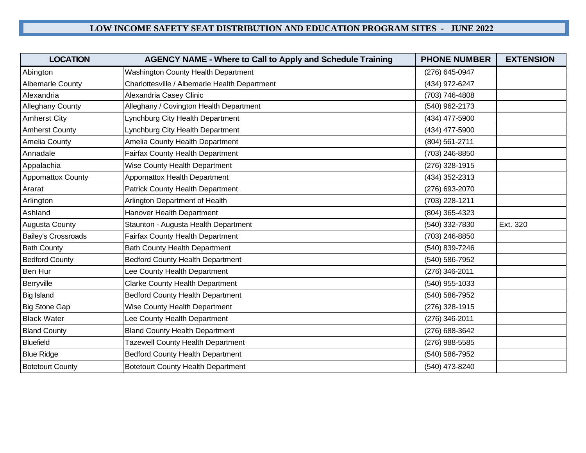| <b>LOCATION</b>            | <b>AGENCY NAME - Where to Call to Apply and Schedule Training</b> | <b>PHONE NUMBER</b> | <b>EXTENSION</b> |
|----------------------------|-------------------------------------------------------------------|---------------------|------------------|
| Abington                   | <b>Washington County Health Department</b>                        | (276) 645-0947      |                  |
| <b>Albemarle County</b>    | Charlottesville / Albemarle Health Department                     | (434) 972-6247      |                  |
| Alexandria                 | Alexandria Casey Clinic                                           | (703) 746-4808      |                  |
| Alleghany County           | Alleghany / Covington Health Department                           | (540) 962-2173      |                  |
| <b>Amherst City</b>        | Lynchburg City Health Department                                  | (434) 477-5900      |                  |
| <b>Amherst County</b>      | Lynchburg City Health Department                                  | (434) 477-5900      |                  |
| <b>Amelia County</b>       | Amelia County Health Department                                   | (804) 561-2711      |                  |
| Annadale                   | <b>Fairfax County Health Department</b>                           | (703) 246-8850      |                  |
| Appalachia                 | Wise County Health Department                                     | (276) 328-1915      |                  |
| <b>Appomattox County</b>   | Appomattox Health Department                                      | (434) 352-2313      |                  |
| Ararat                     | <b>Patrick County Health Department</b>                           | (276) 693-2070      |                  |
| Arlington                  | Arlington Department of Health                                    | (703) 228-1211      |                  |
| Ashland                    | Hanover Health Department                                         | (804) 365-4323      |                  |
| <b>Augusta County</b>      | Staunton - Augusta Health Department                              | (540) 332-7830      | Ext. 320         |
| <b>Bailey's Crossroads</b> | <b>Fairfax County Health Department</b>                           | (703) 246-8850      |                  |
| <b>Bath County</b>         | <b>Bath County Health Department</b>                              | (540) 839-7246      |                  |
| <b>Bedford County</b>      | <b>Bedford County Health Department</b>                           | (540) 586-7952      |                  |
| Ben Hur                    | Lee County Health Department                                      | (276) 346-2011      |                  |
| Berryville                 | <b>Clarke County Health Department</b>                            | (540) 955-1033      |                  |
| <b>Big Island</b>          | <b>Bedford County Health Department</b>                           | (540) 586-7952      |                  |
| <b>Big Stone Gap</b>       | Wise County Health Department                                     | (276) 328-1915      |                  |
| <b>Black Water</b>         | Lee County Health Department                                      | (276) 346-2011      |                  |
| <b>Bland County</b>        | <b>Bland County Health Department</b>                             | (276) 688-3642      |                  |
| <b>Bluefield</b>           | <b>Tazewell County Health Department</b>                          | (276) 988-5585      |                  |
| <b>Blue Ridge</b>          | <b>Bedford County Health Department</b>                           | (540) 586-7952      |                  |
| <b>Botetourt County</b>    | <b>Botetourt County Health Department</b>                         | (540) 473-8240      |                  |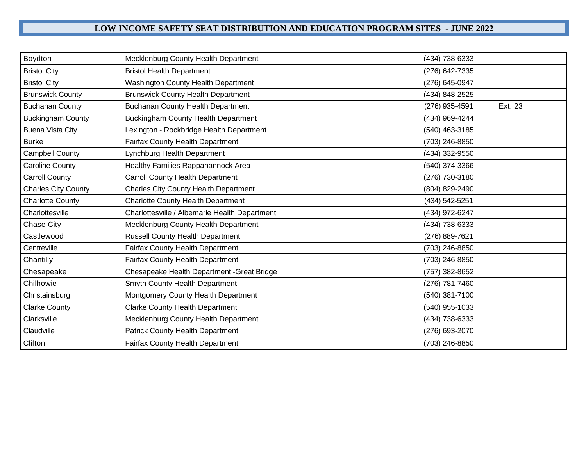| Boydton                    | Mecklenburg County Health Department          | (434) 738-6333 |         |
|----------------------------|-----------------------------------------------|----------------|---------|
| <b>Bristol City</b>        | <b>Bristol Health Department</b>              | (276) 642-7335 |         |
| <b>Bristol City</b>        | Washington County Health Department           | (276) 645-0947 |         |
| <b>Brunswick County</b>    | <b>Brunswick County Health Department</b>     | (434) 848-2525 |         |
| <b>Buchanan County</b>     | <b>Buchanan County Health Department</b>      | (276) 935-4591 | Ext. 23 |
| <b>Buckingham County</b>   | <b>Buckingham County Health Department</b>    | (434) 969-4244 |         |
| <b>Buena Vista City</b>    | Lexington - Rockbridge Health Department      | (540) 463-3185 |         |
| <b>Burke</b>               | Fairfax County Health Department              | (703) 246-8850 |         |
| Campbell County            | Lynchburg Health Department                   | (434) 332-9550 |         |
| <b>Caroline County</b>     | Healthy Families Rappahannock Area            | (540) 374-3366 |         |
| <b>Carroll County</b>      | <b>Carroll County Health Department</b>       | (276) 730-3180 |         |
| <b>Charles City County</b> | <b>Charles City County Health Department</b>  | (804) 829-2490 |         |
| <b>Charlotte County</b>    | <b>Charlotte County Health Department</b>     | (434) 542-5251 |         |
| Charlottesville            | Charlottesville / Albemarle Health Department | (434) 972-6247 |         |
| Chase City                 | Mecklenburg County Health Department          | (434) 738-6333 |         |
| Castlewood                 | <b>Russell County Health Department</b>       | (276) 889-7621 |         |
| Centreville                | Fairfax County Health Department              | (703) 246-8850 |         |
| Chantilly                  | Fairfax County Health Department              | (703) 246-8850 |         |
| Chesapeake                 | Chesapeake Health Department - Great Bridge   | (757) 382-8652 |         |
| Chilhowie                  | Smyth County Health Department                | (276) 781-7460 |         |
| Christainsburg             | Montgomery County Health Department           | (540) 381-7100 |         |
| <b>Clarke County</b>       | <b>Clarke County Health Department</b>        | (540) 955-1033 |         |
| Clarksville                | Mecklenburg County Health Department          | (434) 738-6333 |         |
| Claudville                 | Patrick County Health Department              | (276) 693-2070 |         |
| Clifton                    | Fairfax County Health Department              | (703) 246-8850 |         |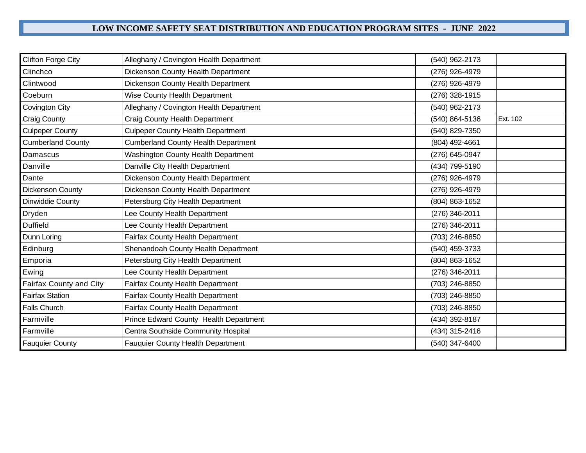| <b>Clifton Forge City</b> | Alleghany / Covington Health Department    | (540) 962-2173 |          |
|---------------------------|--------------------------------------------|----------------|----------|
| Clinchco                  | Dickenson County Health Department         | (276) 926-4979 |          |
| Clintwood                 | Dickenson County Health Department         | (276) 926-4979 |          |
| Coeburn                   | Wise County Health Department              | (276) 328-1915 |          |
| Covington City            | Alleghany / Covington Health Department    | (540) 962-2173 |          |
| Craig County              | Craig County Health Department             | (540) 864-5136 | Ext. 102 |
| <b>Culpeper County</b>    | <b>Culpeper County Health Department</b>   | (540) 829-7350 |          |
| <b>Cumberland County</b>  | <b>Cumberland County Health Department</b> | (804) 492-4661 |          |
| Damascus                  | <b>Washington County Health Department</b> | (276) 645-0947 |          |
| Danville                  | Danville City Health Department            | (434) 799-5190 |          |
| Dante                     | Dickenson County Health Department         | (276) 926-4979 |          |
| Dickenson County          | Dickenson County Health Department         | (276) 926-4979 |          |
| Dinwiddie County          | Petersburg City Health Department          | (804) 863-1652 |          |
| Dryden                    | Lee County Health Department               | (276) 346-2011 |          |
| <b>Duffield</b>           | Lee County Health Department               | (276) 346-2011 |          |
| Dunn Loring               | <b>Fairfax County Health Department</b>    | (703) 246-8850 |          |
| Edinburg                  | Shenandoah County Health Department        | (540) 459-3733 |          |
| Emporia                   | Petersburg City Health Department          | (804) 863-1652 |          |
| Ewing                     | Lee County Health Department               | (276) 346-2011 |          |
| Fairfax County and City   | Fairfax County Health Department           | (703) 246-8850 |          |
| <b>Fairfax Station</b>    | <b>Fairfax County Health Department</b>    | (703) 246-8850 |          |
| <b>Falls Church</b>       | Fairfax County Health Department           | (703) 246-8850 |          |
| Farmville                 | Prince Edward County Health Department     | (434) 392-8187 |          |
| Farmville                 | Centra Southside Community Hospital        | (434) 315-2416 |          |
| <b>Fauquier County</b>    | <b>Fauquier County Health Department</b>   | (540) 347-6400 |          |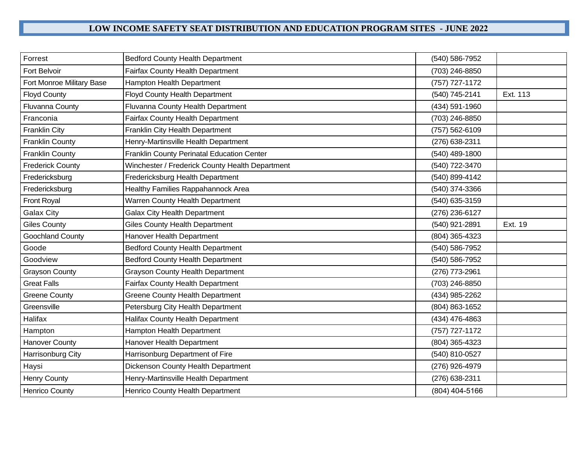| Forrest                   | <b>Bedford County Health Department</b>         | (540) 586-7952 |          |
|---------------------------|-------------------------------------------------|----------------|----------|
| <b>Fort Belvoir</b>       | Fairfax County Health Department                | (703) 246-8850 |          |
| Fort Monroe Military Base | <b>Hampton Health Department</b>                | (757) 727-1172 |          |
| <b>Floyd County</b>       | <b>Floyd County Health Department</b>           | (540) 745-2141 | Ext. 113 |
| <b>Fluvanna County</b>    | Fluvanna County Health Department               | (434) 591-1960 |          |
| Franconia                 | <b>Fairfax County Health Department</b>         | (703) 246-8850 |          |
| <b>Franklin City</b>      | Franklin City Health Department                 | (757) 562-6109 |          |
| <b>Franklin County</b>    | Henry-Martinsville Health Department            | (276) 638-2311 |          |
| <b>Franklin County</b>    | Franklin County Perinatal Education Center      | (540) 489-1800 |          |
| <b>Frederick County</b>   | Winchester / Frederick County Health Department | (540) 722-3470 |          |
| Fredericksburg            | Fredericksburg Health Department                | (540) 899-4142 |          |
| Fredericksburg            | <b>Healthy Families Rappahannock Area</b>       | (540) 374-3366 |          |
| Front Royal               | Warren County Health Department                 | (540) 635-3159 |          |
| <b>Galax City</b>         | <b>Galax City Health Department</b>             | (276) 236-6127 |          |
| <b>Giles County</b>       | <b>Giles County Health Department</b>           | (540) 921-2891 | Ext. 19  |
| Goochland County          | Hanover Health Department                       | (804) 365-4323 |          |
| Goode                     | <b>Bedford County Health Department</b>         | (540) 586-7952 |          |
| Goodview                  | <b>Bedford County Health Department</b>         | (540) 586-7952 |          |
| <b>Grayson County</b>     | <b>Grayson County Health Department</b>         | (276) 773-2961 |          |
| <b>Great Falls</b>        | <b>Fairfax County Health Department</b>         | (703) 246-8850 |          |
| <b>Greene County</b>      | <b>Greene County Health Department</b>          | (434) 985-2262 |          |
| Greensville               | Petersburg City Health Department               | (804) 863-1652 |          |
| Halifax                   | <b>Halifax County Health Department</b>         | (434) 476-4863 |          |
| Hampton                   | Hampton Health Department                       | (757) 727-1172 |          |
| <b>Hanover County</b>     | Hanover Health Department                       | (804) 365-4323 |          |
| Harrisonburg City         | Harrisonburg Department of Fire                 | (540) 810-0527 |          |
| Haysi                     | Dickenson County Health Department              | (276) 926-4979 |          |
| <b>Henry County</b>       | Henry-Martinsville Health Department            | (276) 638-2311 |          |
| <b>Henrico County</b>     | Henrico County Health Department                | (804) 404-5166 |          |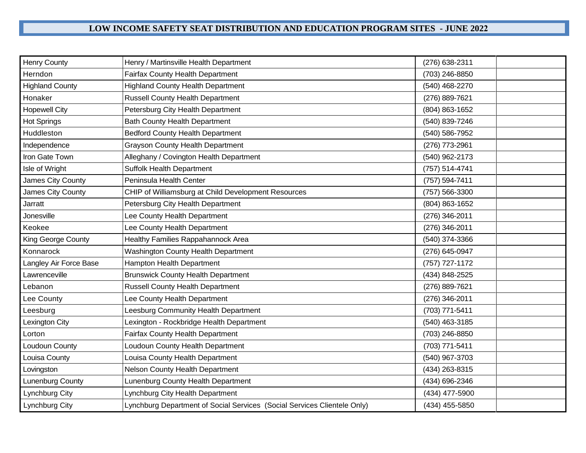| <b>Henry County</b>       | Henry / Martinsville Health Department                                   | (276) 638-2311 |
|---------------------------|--------------------------------------------------------------------------|----------------|
| Herndon                   | <b>Fairfax County Health Department</b>                                  | (703) 246-8850 |
| <b>Highland County</b>    | <b>Highland County Health Department</b>                                 | (540) 468-2270 |
| Honaker                   | <b>Russell County Health Department</b>                                  | (276) 889-7621 |
| <b>Hopewell City</b>      | Petersburg City Health Department                                        | (804) 863-1652 |
| <b>Hot Springs</b>        | <b>Bath County Health Department</b>                                     | (540) 839-7246 |
| Huddleston                | <b>Bedford County Health Department</b>                                  | (540) 586-7952 |
| Independence              | <b>Grayson County Health Department</b>                                  | (276) 773-2961 |
| Iron Gate Town            | Alleghany / Covington Health Department                                  | (540) 962-2173 |
| Isle of Wright            | <b>Suffolk Health Department</b>                                         | (757) 514-4741 |
| James City County         | Peninsula Health Center                                                  | (757) 594-7411 |
| James City County         | CHIP of Williamsburg at Child Development Resources                      | (757) 566-3300 |
| Jarratt                   | Petersburg City Health Department                                        | (804) 863-1652 |
| Jonesville                | Lee County Health Department                                             | (276) 346-2011 |
| Keokee                    | Lee County Health Department                                             | (276) 346-2011 |
| <b>King George County</b> | <b>Healthy Families Rappahannock Area</b>                                | (540) 374-3366 |
| Konnarock                 | <b>Washington County Health Department</b>                               | (276) 645-0947 |
| Langley Air Force Base    | <b>Hampton Health Department</b>                                         | (757) 727-1172 |
| Lawrenceville             | <b>Brunswick County Health Department</b>                                | (434) 848-2525 |
| Lebanon                   | <b>Russell County Health Department</b>                                  | (276) 889-7621 |
| Lee County                | Lee County Health Department                                             | (276) 346-2011 |
| Leesburg                  | Leesburg Community Health Department                                     | (703) 771-5411 |
| Lexington City            | Lexington - Rockbridge Health Department                                 | (540) 463-3185 |
| Lorton                    | <b>Fairfax County Health Department</b>                                  | (703) 246-8850 |
| Loudoun County            | Loudoun County Health Department                                         | (703) 771-5411 |
| Louisa County             | Louisa County Health Department                                          | (540) 967-3703 |
| Lovingston                | Nelson County Health Department                                          | (434) 263-8315 |
| Lunenburg County          | Lunenburg County Health Department                                       | (434) 696-2346 |
| Lynchburg City            | Lynchburg City Health Department                                         | (434) 477-5900 |
| Lynchburg City            | Lynchburg Department of Social Services (Social Services Clientele Only) | (434) 455-5850 |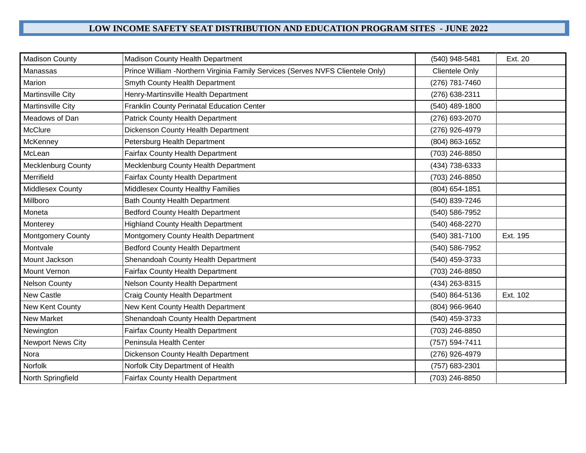| <b>Madison County</b>     | Madison County Health Department                                               | (540) 948-5481 | Ext. 20  |
|---------------------------|--------------------------------------------------------------------------------|----------------|----------|
| Manassas                  | Prince William -Northern Virginia Family Services (Serves NVFS Clientele Only) | Clientele Only |          |
| Marion                    | Smyth County Health Department                                                 | (276) 781-7460 |          |
| Martinsville City         | Henry-Martinsville Health Department                                           | (276) 638-2311 |          |
| Martinsville City         | <b>Franklin County Perinatal Education Center</b>                              | (540) 489-1800 |          |
| Meadows of Dan            | Patrick County Health Department                                               | (276) 693-2070 |          |
| McClure                   | Dickenson County Health Department                                             | (276) 926-4979 |          |
| McKenney                  | Petersburg Health Department                                                   | (804) 863-1652 |          |
| McLean                    | Fairfax County Health Department                                               | (703) 246-8850 |          |
| <b>Mecklenburg County</b> | Mecklenburg County Health Department                                           | (434) 738-6333 |          |
| Merrifield                | <b>Fairfax County Health Department</b>                                        | (703) 246-8850 |          |
| <b>Middlesex County</b>   | <b>Middlesex County Healthy Families</b>                                       | (804) 654-1851 |          |
| Millboro                  | <b>Bath County Health Department</b>                                           | (540) 839-7246 |          |
| Moneta                    | <b>Bedford County Health Department</b>                                        | (540) 586-7952 |          |
| Monterey                  | <b>Highland County Health Department</b>                                       | (540) 468-2270 |          |
| <b>Montgomery County</b>  | Montgomery County Health Department                                            | (540) 381-7100 | Ext. 195 |
| Montvale                  | <b>Bedford County Health Department</b>                                        | (540) 586-7952 |          |
| Mount Jackson             | Shenandoah County Health Department                                            | (540) 459-3733 |          |
| <b>Mount Vernon</b>       | <b>Fairfax County Health Department</b>                                        | (703) 246-8850 |          |
| <b>Nelson County</b>      | <b>Nelson County Health Department</b>                                         | (434) 263-8315 |          |
| <b>New Castle</b>         | <b>Craig County Health Department</b>                                          | (540) 864-5136 | Ext. 102 |
| New Kent County           | New Kent County Health Department                                              | (804) 966-9640 |          |
| <b>New Market</b>         | Shenandoah County Health Department                                            | (540) 459-3733 |          |
| Newington                 | <b>Fairfax County Health Department</b>                                        | (703) 246-8850 |          |
| <b>Newport News City</b>  | Peninsula Health Center                                                        | (757) 594-7411 |          |
| Nora                      | Dickenson County Health Department                                             | (276) 926-4979 |          |
| Norfolk                   | Norfolk City Department of Health                                              | (757) 683-2301 |          |
| North Springfield         | <b>Fairfax County Health Department</b>                                        | (703) 246-8850 |          |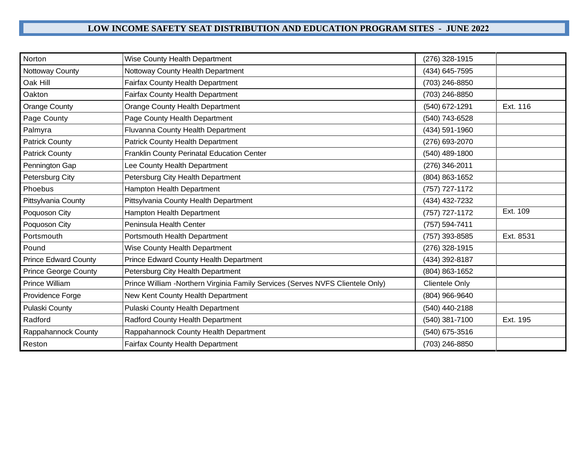| Norton                      | <b>Wise County Health Department</b>                                           | (276) 328-1915   |           |
|-----------------------------|--------------------------------------------------------------------------------|------------------|-----------|
| Nottoway County             | Nottoway County Health Department                                              | (434) 645-7595   |           |
| Oak Hill                    | <b>Fairfax County Health Department</b>                                        | (703) 246-8850   |           |
| Oakton                      | <b>Fairfax County Health Department</b>                                        | (703) 246-8850   |           |
| <b>Orange County</b>        | Orange County Health Department                                                | (540) 672-1291   | Ext. 116  |
| Page County                 | Page County Health Department                                                  | (540) 743-6528   |           |
| Palmyra                     | Fluvanna County Health Department                                              | (434) 591-1960   |           |
| <b>Patrick County</b>       | <b>Patrick County Health Department</b>                                        | (276) 693-2070   |           |
| <b>Patrick County</b>       | Franklin County Perinatal Education Center                                     | $(540)$ 489-1800 |           |
| Pennington Gap              | Lee County Health Department                                                   | (276) 346-2011   |           |
| Petersburg City             | Petersburg City Health Department                                              | (804) 863-1652   |           |
| Phoebus                     | Hampton Health Department                                                      | (757) 727-1172   |           |
| Pittsylvania County         | Pittsylvania County Health Department                                          | (434) 432-7232   |           |
| Poquoson City               | Hampton Health Department                                                      | (757) 727-1172   | Ext. 109  |
| Poquoson City               | Peninsula Health Center                                                        | (757) 594-7411   |           |
| Portsmouth                  | Portsmouth Health Department                                                   | (757) 393-8585   | Ext. 8531 |
| Pound                       | Wise County Health Department                                                  | (276) 328-1915   |           |
| <b>Prince Edward County</b> | Prince Edward County Health Department                                         | (434) 392-8187   |           |
| <b>Prince George County</b> | Petersburg City Health Department                                              | (804) 863-1652   |           |
| <b>Prince William</b>       | Prince William -Northern Virginia Family Services (Serves NVFS Clientele Only) | Clientele Only   |           |
| Providence Forge            | New Kent County Health Department                                              | (804) 966-9640   |           |
| <b>Pulaski County</b>       | Pulaski County Health Department                                               | (540) 440-2188   |           |
| Radford                     | Radford County Health Department                                               | (540) 381-7100   | Ext. 195  |
| Rappahannock County         | Rappahannock County Health Department                                          | (540) 675-3516   |           |
| Reston                      | <b>Fairfax County Health Department</b>                                        | (703) 246-8850   |           |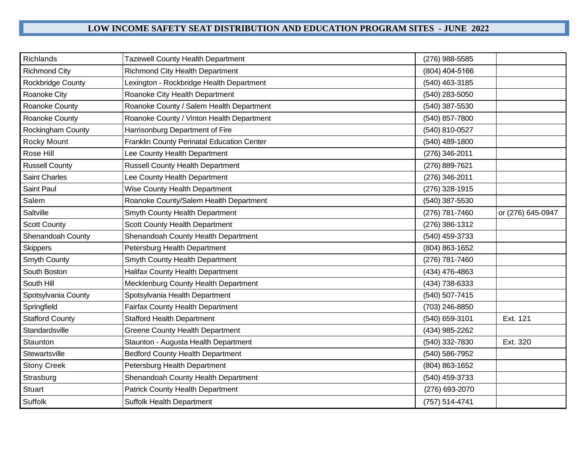| Richlands              | <b>Tazewell County Health Department</b>   | (276) 988-5585 |                   |
|------------------------|--------------------------------------------|----------------|-------------------|
| <b>Richmond City</b>   | <b>Richmond City Health Department</b>     | (804) 404-5166 |                   |
| Rockbridge County      | Lexington - Rockbridge Health Department   | (540) 463-3185 |                   |
| Roanoke City           | Roanoke City Health Department             | (540) 283-5050 |                   |
| Roanoke County         | Roanoke County / Salem Health Department   | (540) 387-5530 |                   |
| Roanoke County         | Roanoke County / Vinton Health Department  | (540) 857-7800 |                   |
| Rockingham County      | Harrisonburg Department of Fire            | (540) 810-0527 |                   |
| Rocky Mount            | Franklin County Perinatal Education Center | (540) 489-1800 |                   |
| Rose Hill              | Lee County Health Department               | (276) 346-2011 |                   |
| <b>Russell County</b>  | <b>Russell County Health Department</b>    | (276) 889-7621 |                   |
| <b>Saint Charles</b>   | Lee County Health Department               | (276) 346-2011 |                   |
| Saint Paul             | Wise County Health Department              | (276) 328-1915 |                   |
| Salem                  | Roanoke County/Salem Health Department     | (540) 387-5530 |                   |
| Saltville              | Smyth County Health Department             | (276) 781-7460 | or (276) 645-0947 |
| <b>Scott County</b>    | Scott County Health Department             | (276) 386-1312 |                   |
| Shenandoah County      | Shenandoah County Health Department        | (540) 459-3733 |                   |
| <b>Skippers</b>        | Petersburg Health Department               | (804) 863-1652 |                   |
| Smyth County           | Smyth County Health Department             | (276) 781-7460 |                   |
| South Boston           | <b>Halifax County Health Department</b>    | (434) 476-4863 |                   |
| South Hill             | Mecklenburg County Health Department       | (434) 738-6333 |                   |
| Spotsylvania County    | Spotsylvania Health Department             | (540) 507-7415 |                   |
| Springfield            | Fairfax County Health Department           | (703) 246-8850 |                   |
| <b>Stafford County</b> | <b>Stafford Health Department</b>          | (540) 659-3101 | Ext. 121          |
| Standardsville         | <b>Greene County Health Department</b>     | (434) 985-2262 |                   |
| Staunton               | Staunton - Augusta Health Department       | (540) 332-7830 | Ext. 320          |
| Stewartsville          | <b>Bedford County Health Department</b>    | (540) 586-7952 |                   |
| <b>Stony Creek</b>     | Petersburg Health Department               | (804) 863-1652 |                   |
| Strasburg              | Shenandoah County Health Department        | (540) 459-3733 |                   |
| <b>Stuart</b>          | <b>Patrick County Health Department</b>    | (276) 693-2070 |                   |
| Suffolk                | <b>Suffolk Health Department</b>           | (757) 514-4741 |                   |